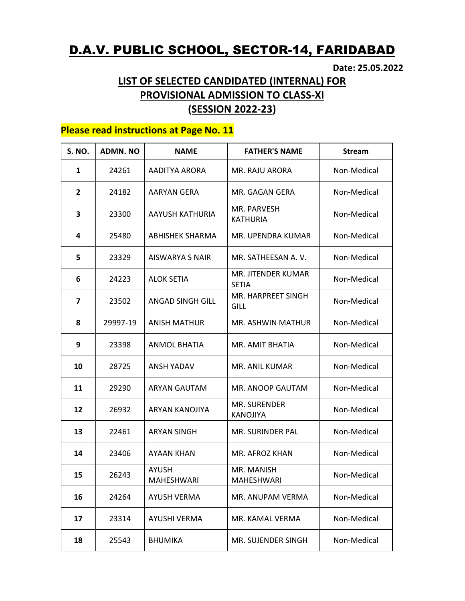## D.A.V. PUBLIC SCHOOL, SECTOR-14, FARIDABAD

Date: 25.05.2022

## LIST OF SELECTED CANDIDATED (INTERNAL) FOR PROVISIONAL ADMISSION TO CLASS-XI (SESSION 2022-23)

## Please read instructions at Page No. 11

| <b>S. NO.</b> | <b>ADMN. NO</b> | <b>NAME</b>                | <b>FATHER'S NAME</b>               | <b>Stream</b> |
|---------------|-----------------|----------------------------|------------------------------------|---------------|
| 1             | 24261           | AADITYA ARORA              | MR. RAJU ARORA                     | Non-Medical   |
| $\mathbf{2}$  | 24182           | AARYAN GERA                | MR. GAGAN GERA                     | Non-Medical   |
| 3             | 23300           | AAYUSH KATHURIA            | MR. PARVESH<br><b>KATHURIA</b>     | Non-Medical   |
| 4             | 25480           | ABHISHEK SHARMA            | MR. UPENDRA KUMAR                  | Non-Medical   |
| 5             | 23329           | AISWARYA S NAIR            | MR. SATHEESAN A. V.                | Non-Medical   |
| 6             | 24223           | <b>ALOK SETIA</b>          | MR. JITENDER KUMAR<br><b>SETIA</b> | Non-Medical   |
| 7             | 23502           | <b>ANGAD SINGH GILL</b>    | MR. HARPREET SINGH<br>GILL         | Non-Medical   |
| 8             | 29997-19        | <b>ANISH MATHUR</b>        | MR. ASHWIN MATHUR                  | Non-Medical   |
| 9             | 23398           | <b>ANMOL BHATIA</b>        | MR. AMIT BHATIA                    | Non-Medical   |
| 10            | 28725           | ANSH YADAV                 | MR. ANIL KUMAR                     | Non-Medical   |
| 11            | 29290           | <b>ARYAN GAUTAM</b>        | MR. ANOOP GAUTAM                   | Non-Medical   |
| 12            | 26932           | ARYAN KANOJIYA             | MR. SURENDER<br><b>KANOJIYA</b>    | Non-Medical   |
| 13            | 22461           | <b>ARYAN SINGH</b>         | MR. SURINDER PAL                   | Non-Medical   |
| 14            | 23406           | AYAAN KHAN                 | MR. AFROZ KHAN                     | Non-Medical   |
| 15            | 26243           | <b>AYUSH</b><br>MAHESHWARI | MR. MANISH<br>MAHESHWARI           | Non-Medical   |
| 16            | 24264           | AYUSH VERMA                | MR. ANUPAM VERMA                   | Non-Medical   |
| 17            | 23314           | AYUSHI VERMA               | MR. KAMAL VERMA                    | Non-Medical   |
| 18            | 25543           | <b>BHUMIKA</b>             | MR. SUJENDER SINGH                 | Non-Medical   |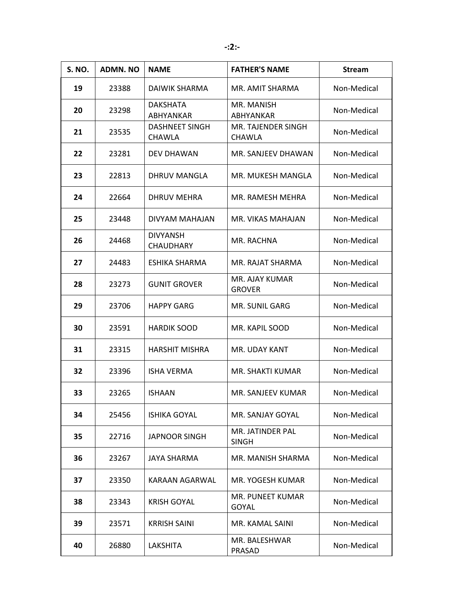| <b>S. NO.</b> | <b>ADMN. NO</b> | <b>NAME</b>                            | <b>FATHER'S NAME</b>                | <b>Stream</b> |
|---------------|-----------------|----------------------------------------|-------------------------------------|---------------|
| 19            | 23388           | DAIWIK SHARMA                          | MR. AMIT SHARMA                     | Non-Medical   |
| 20            | 23298           | <b>DAKSHATA</b><br>ABHYANKAR           | MR. MANISH<br><b>ABHYANKAR</b>      | Non-Medical   |
| 21            | 23535           | <b>DASHNEET SINGH</b><br><b>CHAWLA</b> | MR. TAJENDER SINGH<br><b>CHAWLA</b> | Non-Medical   |
| 22            | 23281           | <b>DEV DHAWAN</b>                      | MR. SANJEEV DHAWAN                  | Non-Medical   |
| 23            | 22813           | DHRUV MANGLA                           | MR. MUKESH MANGLA                   | Non-Medical   |
| 24            | 22664           | <b>DHRUV MEHRA</b>                     | MR. RAMESH MEHRA                    | Non-Medical   |
| 25            | 23448           | DIVYAM MAHAJAN                         | MR. VIKAS MAHAJAN                   | Non-Medical   |
| 26            | 24468           | <b>DIVYANSH</b><br><b>CHAUDHARY</b>    | MR. RACHNA                          | Non-Medical   |
| 27            | 24483           | ESHIKA SHARMA                          | MR. RAJAT SHARMA                    | Non-Medical   |
| 28            | 23273           | <b>GUNIT GROVER</b>                    | MR. AJAY KUMAR<br><b>GROVER</b>     | Non-Medical   |
| 29            | 23706           | <b>HAPPY GARG</b>                      | <b>MR. SUNIL GARG</b>               | Non-Medical   |
| 30            | 23591           | <b>HARDIK SOOD</b>                     | MR. KAPIL SOOD                      | Non-Medical   |
| 31            | 23315           | <b>HARSHIT MISHRA</b>                  | MR. UDAY KANT                       | Non-Medical   |
| 32            | 23396           | <b>ISHA VERMA</b>                      | MR. SHAKTI KUMAR                    | Non-Medical   |
| 33            | 23265           | <b>ISHAAN</b>                          | MR. SANJEEV KUMAR                   | Non-Medical   |
| 34            | 25456           | <b>ISHIKA GOYAL</b>                    | MR. SANJAY GOYAL                    | Non-Medical   |
| 35            | 22716           | <b>JAPNOOR SINGH</b>                   | MR. JATINDER PAL<br><b>SINGH</b>    | Non-Medical   |
| 36            | 23267           | <b>JAYA SHARMA</b>                     | MR. MANISH SHARMA                   | Non-Medical   |
| 37            | 23350           | KARAAN AGARWAL                         | MR. YOGESH KUMAR                    | Non-Medical   |
| 38            | 23343           | <b>KRISH GOYAL</b>                     | MR. PUNEET KUMAR<br>GOYAL           | Non-Medical   |
| 39            | 23571           | <b>KRRISH SAINI</b>                    | MR. KAMAL SAINI                     | Non-Medical   |
| 40            | 26880           | LAKSHITA                               | MR. BALESHWAR<br>PRASAD             | Non-Medical   |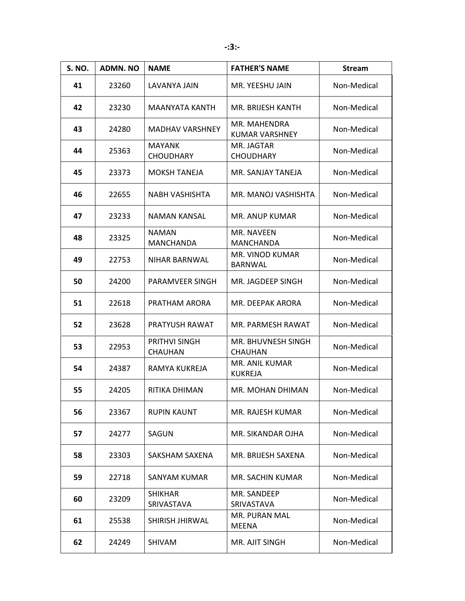| <b>S. NO.</b> | <b>ADMN.NO</b> | <b>NAME</b>                            | <b>FATHER'S NAME</b>              | <b>Stream</b> |
|---------------|----------------|----------------------------------------|-----------------------------------|---------------|
| 41            | 23260          | LAVANYA JAIN                           | MR. YEESHU JAIN                   | Non-Medical   |
| 42            | 23230          | MAANYATA KANTH                         | MR. BRIJESH KANTH                 | Non-Medical   |
| 43            | 24280          | <b>MADHAV VARSHNEY</b>                 | MR. MAHENDRA<br>KUMAR VARSHNEY    | Non-Medical   |
| 44            | 25363          | MAYANK<br><b>CHOUDHARY</b>             | MR. JAGTAR<br><b>CHOUDHARY</b>    | Non-Medical   |
| 45            | 23373          | <b>MOKSH TANEJA</b>                    | MR. SANJAY TANEJA                 | Non-Medical   |
| 46            | 22655          | NABH VASHISHTA                         | MR. MANOJ VASHISHTA               | Non-Medical   |
| 47            | 23233          | NAMAN KANSAL                           | MR. ANUP KUMAR                    | Non-Medical   |
| 48            | 23325          | <b>NAMAN</b><br><b>MANCHANDA</b>       | MR. NAVEEN<br><b>MANCHANDA</b>    | Non-Medical   |
| 49            | 22753          | NIHAR BARNWAL                          | MR. VINOD KUMAR<br><b>BARNWAL</b> | Non-Medical   |
| 50            | 24200          | PARAMVEER SINGH                        | MR. JAGDEEP SINGH                 | Non-Medical   |
| 51            | 22618          | PRATHAM ARORA                          | MR. DEEPAK ARORA                  | Non-Medical   |
| 52            | 23628          | PRATYUSH RAWAT                         | MR. PARMESH RAWAT                 | Non-Medical   |
| 53            | 22953          | <b>PRITHVI SINGH</b><br><b>CHAUHAN</b> | MR. BHUVNESH SINGH<br>CHAUHAN     | Non-Medical   |
| 54            | 24387          | RAMYA KUKREJA                          | MR. ANIL KUMAR<br><b>KUKREJA</b>  | Non-Medical   |
| 55            | 24205          | RITIKA DHIMAN                          | MR. MOHAN DHIMAN                  | Non-Medical   |
| 56            | 23367          | <b>RUPIN KAUNT</b>                     | MR. RAJESH KUMAR                  | Non-Medical   |
| 57            | 24277          | SAGUN                                  | MR. SIKANDAR OJHA                 | Non-Medical   |
| 58            | 23303          | SAKSHAM SAXENA                         | MR. BRIJESH SAXENA                | Non-Medical   |
| 59            | 22718          | <b>SANYAM KUMAR</b>                    | MR. SACHIN KUMAR                  | Non-Medical   |
| 60            | 23209          | <b>SHIKHAR</b><br>SRIVASTAVA           | MR. SANDEEP<br>SRIVASTAVA         | Non-Medical   |
| 61            | 25538          | SHIRISH JHIRWAL                        | MR. PURAN MAL<br>MEENA            | Non-Medical   |
| 62            | 24249          | SHIVAM                                 | MR. AJIT SINGH                    | Non-Medical   |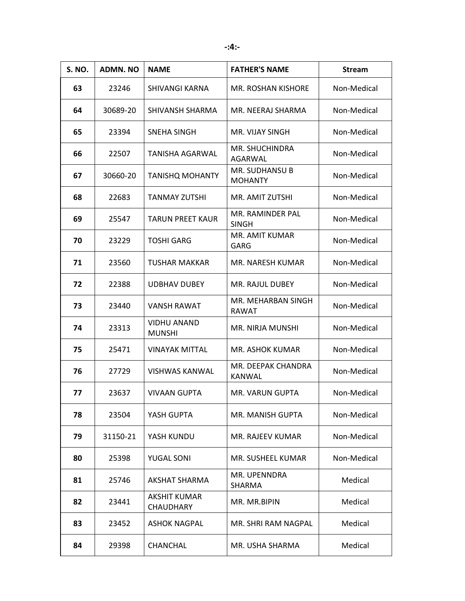| <b>S. NO.</b> | <b>ADMN.NO</b> | <b>NAME</b>                         | <b>FATHER'S NAME</b>                    | <b>Stream</b> |
|---------------|----------------|-------------------------------------|-----------------------------------------|---------------|
| 63            | 23246          | SHIVANGI KARNA                      | <b>MR. ROSHAN KISHORE</b>               | Non-Medical   |
| 64            | 30689-20       | SHIVANSH SHARMA                     | MR. NEERAJ SHARMA                       | Non-Medical   |
| 65            | 23394          | SNEHA SINGH                         | MR. VIJAY SINGH                         | Non-Medical   |
| 66            | 22507          | TANISHA AGARWAL                     | MR. SHUCHINDRA<br>AGARWAL               | Non-Medical   |
| 67            | 30660-20       | <b>TANISHQ MOHANTY</b>              | <b>MR. SUDHANSU B</b><br><b>MOHANTY</b> | Non-Medical   |
| 68            | 22683          | <b>TANMAY ZUTSHI</b>                | MR. AMIT ZUTSHI                         | Non-Medical   |
| 69            | 25547          | <b>TARUN PREET KAUR</b>             | MR. RAMINDER PAL<br><b>SINGH</b>        | Non-Medical   |
| 70            | 23229          | <b>TOSHI GARG</b>                   | MR. AMIT KUMAR<br>GARG                  | Non-Medical   |
| 71            | 23560          | TUSHAR MAKKAR                       | <b>MR. NARESH KUMAR</b>                 | Non-Medical   |
| 72            | 22388          | <b>UDBHAV DUBEY</b>                 | MR. RAJUL DUBEY                         | Non-Medical   |
| 73            | 23440          | <b>VANSH RAWAT</b>                  | MR. MEHARBAN SINGH<br>RAWAT             | Non-Medical   |
| 74            | 23313          | <b>VIDHU ANAND</b><br><b>MUNSHI</b> | MR. NIRJA MUNSHI                        | Non-Medical   |
| 75            | 25471          | <b>VINAYAK MITTAL</b>               | MR. ASHOK KUMAR                         | Non-Medical   |
| 76            | 27729          | <b>VISHWAS KANWAL</b>               | MR. DEEPAK CHANDRA<br><b>KANWAL</b>     | Non-Medical   |
| 77            | 23637          | <b>VIVAAN GUPTA</b>                 | MR. VARUN GUPTA                         | Non-Medical   |
| 78            | 23504          | YASH GUPTA                          | MR. MANISH GUPTA                        | Non-Medical   |
| 79            | 31150-21       | YASH KUNDU                          | MR. RAJEEV KUMAR                        | Non-Medical   |
| 80            | 25398          | <b>YUGAL SONI</b>                   | MR. SUSHEEL KUMAR                       | Non-Medical   |
| 81            | 25746          | <b>AKSHAT SHARMA</b>                | MR. UPENNDRA<br>SHARMA                  | Medical       |
| 82            | 23441          | <b>AKSHIT KUMAR</b><br>CHAUDHARY    | MR. MR.BIPIN                            | Medical       |
| 83            | 23452          | <b>ASHOK NAGPAL</b>                 | MR. SHRI RAM NAGPAL                     | Medical       |
| 84            | 29398          | CHANCHAL                            | MR. USHA SHARMA                         | Medical       |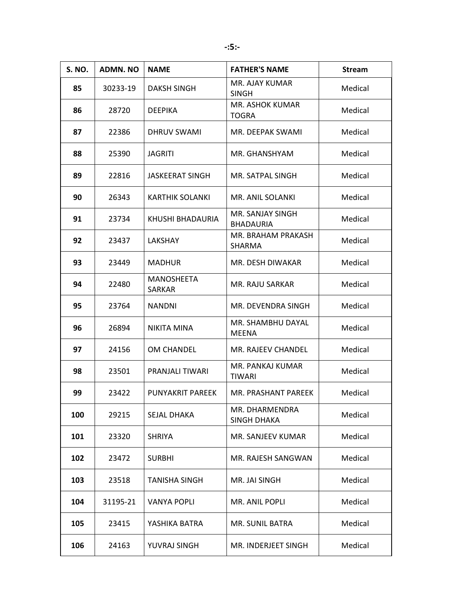| <b>S. NO.</b> | <b>ADMN.NO</b> | <b>NAME</b>             | <b>FATHER'S NAME</b>                        | <b>Stream</b> |
|---------------|----------------|-------------------------|---------------------------------------------|---------------|
| 85            | 30233-19       | <b>DAKSH SINGH</b>      | MR. AJAY KUMAR<br><b>SINGH</b>              | Medical       |
| 86            | 28720          | <b>DEEPIKA</b>          | <b>MR. ASHOK KUMAR</b><br><b>TOGRA</b>      | Medical       |
| 87            | 22386          | DHRUV SWAMI             | MR. DEEPAK SWAMI                            | Medical       |
| 88            | 25390          | <b>JAGRITI</b>          | MR. GHANSHYAM                               | Medical       |
| 89            | 22816          | <b>JASKEERAT SINGH</b>  | MR. SATPAL SINGH                            | Medical       |
| 90            | 26343          | KARTHIK SOLANKI         | MR. ANIL SOLANKI                            | Medical       |
| 91            | 23734          | KHUSHI BHADAURIA        | <b>MR. SANJAY SINGH</b><br><b>BHADAURIA</b> | Medical       |
| 92            | 23437          | LAKSHAY                 | MR. BRAHAM PRAKASH<br>SHARMA                | Medical       |
| 93            | 23449          | <b>MADHUR</b>           | MR. DESH DIWAKAR                            | Medical       |
| 94            | 22480          | MANOSHEETA<br>SARKAR    | MR. RAJU SARKAR                             | Medical       |
| 95            | 23764          | <b>NANDNI</b>           | MR. DEVENDRA SINGH                          | Medical       |
| 96            | 26894          | <b>NIKITA MINA</b>      | MR. SHAMBHU DAYAL<br><b>MEENA</b>           | Medical       |
| 97            | 24156          | OM CHANDEL              | MR. RAJEEV CHANDEL                          | Medical       |
| 98            | 23501          | <b>PRANJALI TIWARI</b>  | MR. PANKAJ KUMAR<br>TIWARI                  | Medical       |
| 99            | 23422          | <b>PUNYAKRIT PAREEK</b> | MR. PRASHANT PAREEK                         | Medical       |
| 100           | 29215          | <b>SEJAL DHAKA</b>      | MR. DHARMENDRA<br>SINGH DHAKA               | Medical       |
| 101           | 23320          | <b>SHRIYA</b>           | MR. SANJEEV KUMAR                           | Medical       |
| 102           | 23472          | <b>SURBHI</b>           | MR. RAJESH SANGWAN                          | Medical       |
| 103           | 23518          | <b>TANISHA SINGH</b>    | MR. JAI SINGH                               | Medical       |
| 104           | 31195-21       | VANYA POPLI             | MR. ANIL POPLI                              | Medical       |
| 105           | 23415          | YASHIKA BATRA           | MR. SUNIL BATRA                             | Medical       |
| 106           | 24163          | YUVRAJ SINGH            | MR. INDERJEET SINGH                         | Medical       |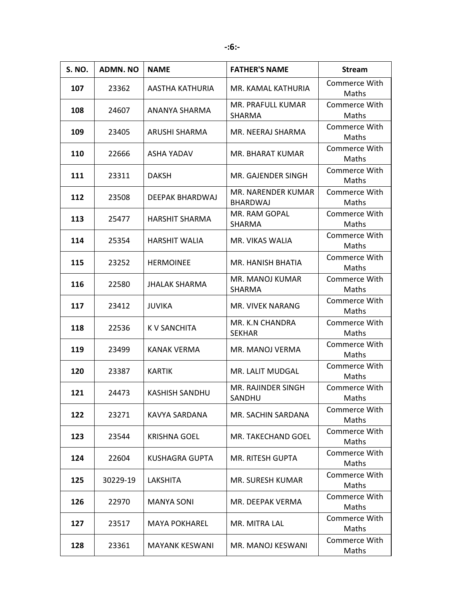| <b>S. NO.</b> | <b>ADMN.NO</b> | <b>NAME</b>           | <b>FATHER'S NAME</b>                      | <b>Stream</b>          |
|---------------|----------------|-----------------------|-------------------------------------------|------------------------|
| 107           | 23362          | AASTHA KATHURIA       | MR. KAMAL KATHURIA                        | Commerce With<br>Maths |
| 108           | 24607          | ANANYA SHARMA         | <b>MR. PRAFULL KUMAR</b><br><b>SHARMA</b> | Commerce With<br>Maths |
| 109           | 23405          | ARUSHI SHARMA         | MR. NEERAJ SHARMA                         | Commerce With<br>Maths |
| 110           | 22666          | ASHA YADAV            | MR. BHARAT KUMAR                          | Commerce With<br>Maths |
| 111           | 23311          | <b>DAKSH</b>          | MR. GAJENDER SINGH                        | Commerce With<br>Maths |
| 112           | 23508          | DEEPAK BHARDWAJ       | MR. NARENDER KUMAR<br><b>BHARDWAJ</b>     | Commerce With<br>Maths |
| 113           | 25477          | <b>HARSHIT SHARMA</b> | MR. RAM GOPAL<br><b>SHARMA</b>            | Commerce With<br>Maths |
| 114           | 25354          | <b>HARSHIT WALIA</b>  | MR. VIKAS WALIA                           | Commerce With<br>Maths |
| 115           | 23252          | <b>HERMOINEE</b>      | <b>MR. HANISH BHATIA</b>                  | Commerce With<br>Maths |
| 116           | 22580          | <b>JHALAK SHARMA</b>  | MR. MANOJ KUMAR<br>SHARMA                 | Commerce With<br>Maths |
| 117           | 23412          | <b>JUVIKA</b>         | MR. VIVEK NARANG                          | Commerce With<br>Maths |
| 118           | 22536          | K V SANCHITA          | MR. K.N CHANDRA<br><b>SEKHAR</b>          | Commerce With<br>Maths |
| 119           | 23499          | KANAK VERMA           | MR. MANOJ VERMA                           | Commerce With<br>Maths |
| 120           | 23387          | <b>KARTIK</b>         | MR. LALIT MUDGAL                          | Commerce With<br>Maths |
| 121           | 24473          | KASHISH SANDHU        | <b>MR. RAJINDER SINGH</b><br>SANDHU       | Commerce With<br>Maths |
| 122           | 23271          | KAVYA SARDANA         | MR. SACHIN SARDANA                        | Commerce With<br>Maths |
| 123           | 23544          | <b>KRISHNA GOEL</b>   | MR. TAKECHAND GOEL                        | Commerce With<br>Maths |
| 124           | 22604          | KUSHAGRA GUPTA        | <b>MR. RITESH GUPTA</b>                   | Commerce With<br>Maths |
| 125           | 30229-19       | LAKSHITA              | MR. SURESH KUMAR                          | Commerce With<br>Maths |
| 126           | 22970          | <b>MANYA SONI</b>     | MR. DEEPAK VERMA                          | Commerce With<br>Maths |
| 127           | 23517          | <b>MAYA POKHAREL</b>  | MR. MITRA LAL                             | Commerce With<br>Maths |
| 128           | 23361          | <b>MAYANK KESWANI</b> | MR. MANOJ KESWANI                         | Commerce With<br>Maths |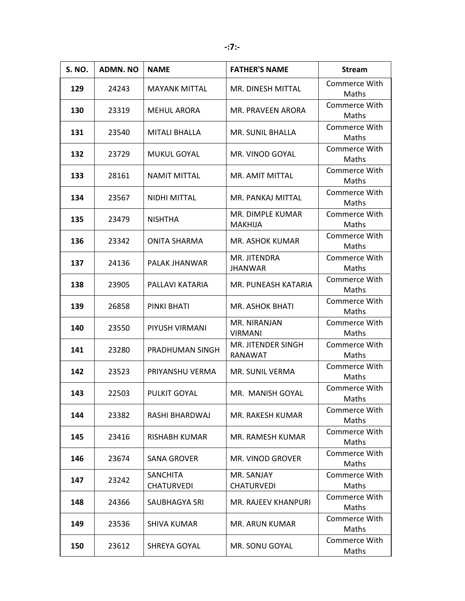| <b>S. NO.</b> | <b>ADMN. NO</b> | <b>NAME</b>                          | <b>FATHER'S NAME</b>                      | <b>Stream</b>                 |
|---------------|-----------------|--------------------------------------|-------------------------------------------|-------------------------------|
| 129           | 24243           | <b>MAYANK MITTAL</b>                 | MR. DINESH MITTAL                         | Commerce With<br>Maths        |
| 130           | 23319           | <b>MEHUL ARORA</b>                   | MR. PRAVEEN ARORA                         | <b>Commerce With</b><br>Maths |
| 131           | 23540           | <b>MITALI BHALLA</b>                 | <b>MR. SUNIL BHALLA</b>                   | Commerce With<br>Maths        |
| 132           | 23729           | <b>MUKUL GOYAL</b>                   | MR. VINOD GOYAL                           | Commerce With<br>Maths        |
| 133           | 28161           | <b>NAMIT MITTAL</b>                  | MR. AMIT MITTAL                           | <b>Commerce With</b><br>Maths |
| 134           | 23567           | <b>NIDHI MITTAL</b>                  | MR. PANKAJ MITTAL                         | Commerce With<br>Maths        |
| 135           | 23479           | <b>NISHTHA</b>                       | <b>MR. DIMPLE KUMAR</b><br><b>MAKHIJA</b> | Commerce With<br>Maths        |
| 136           | 23342           | <b>ONITA SHARMA</b>                  | <b>MR. ASHOK KUMAR</b>                    | Commerce With<br>Maths        |
| 137           | 24136           | PALAK JHANWAR                        | MR. JITENDRA<br><b>JHANWAR</b>            | Commerce With<br>Maths        |
| 138           | 23905           | PALLAVI KATARIA                      | MR. PUNEASH KATARIA                       | Commerce With<br>Maths        |
| 139           | 26858           | <b>PINKI BHATI</b>                   | <b>MR. ASHOK BHATI</b>                    | Commerce With<br>Maths        |
| 140           | 23550           | PIYUSH VIRMANI                       | MR. NIRANJAN<br><b>VIRMANI</b>            | Commerce With<br>Maths        |
| 141           | 23280           | PRADHUMAN SINGH                      | MR. JITENDER SINGH<br>RANAWAT             | Commerce With<br>Maths        |
| 142           | 23523           | PRIYANSHU VERMA                      | MR. SUNIL VERMA                           | <b>Commerce With</b><br>Maths |
| 143           | 22503           | PULKIT GOYAL                         | MR. MANISH GOYAL                          | Commerce With<br>Maths        |
| 144           | 23382           | RASHI BHARDWAJ                       | MR. RAKESH KUMAR                          | Commerce With<br>Maths        |
| 145           | 23416           | RISHABH KUMAR                        | <b>MR. RAMESH KUMAR</b>                   | Commerce With<br>Maths        |
| 146           | 23674           | SANA GROVER                          | MR. VINOD GROVER                          | Commerce With<br>Maths        |
| 147           | 23242           | <b>SANCHITA</b><br><b>CHATURVEDI</b> | MR. SANJAY<br><b>CHATURVEDI</b>           | Commerce With<br>Maths        |
| 148           | 24366           | SAUBHAGYA SRI                        | <b>MR. RAJEEV KHANPURI</b>                | Commerce With<br>Maths        |
| 149           | 23536           | <b>SHIVA KUMAR</b>                   | <b>MR. ARUN KUMAR</b>                     | Commerce With<br>Maths        |
| 150           | 23612           | SHREYA GOYAL                         | MR. SONU GOYAL                            | Commerce With<br>Maths        |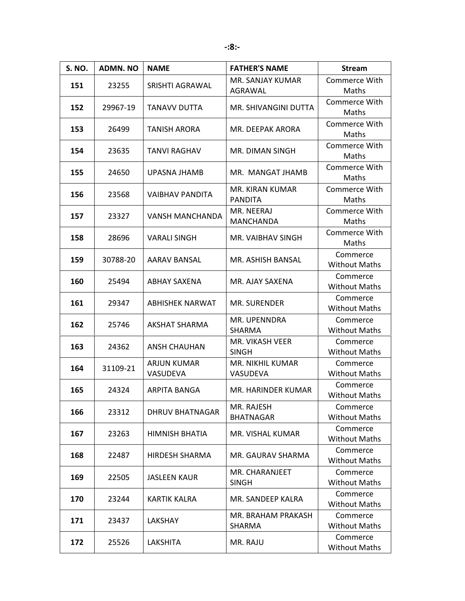| <b>S. NO.</b> | <b>ADMN.NO</b> | <b>NAME</b>                    | <b>FATHER'S NAME</b>                | <b>Stream</b>                    |
|---------------|----------------|--------------------------------|-------------------------------------|----------------------------------|
| 151           | 23255          | SRISHTI AGRAWAL                | MR. SANJAY KUMAR<br>AGRAWAL         | Commerce With<br>Maths           |
| 152           | 29967-19       | TANAVV DUTTA                   | MR. SHIVANGINI DUTTA                | Commerce With<br>Maths           |
| 153           | 26499          | <b>TANISH ARORA</b>            | MR. DEEPAK ARORA                    | Commerce With<br>Maths           |
| 154           | 23635          | <b>TANVI RAGHAV</b>            | MR. DIMAN SINGH                     | <b>Commerce With</b><br>Maths    |
| 155           | 24650          | UPASNA JHAMB                   | MR. MANGAT JHAMB                    | Commerce With<br>Maths           |
| 156           | 23568          | <b>VAIBHAV PANDITA</b>         | MR. KIRAN KUMAR<br><b>PANDITA</b>   | Commerce With<br>Maths           |
| 157           | 23327          | <b>VANSH MANCHANDA</b>         | MR. NEERAJ<br><b>MANCHANDA</b>      | Commerce With<br>Maths           |
| 158           | 28696          | <b>VARALI SINGH</b>            | MR. VAIBHAV SINGH                   | Commerce With<br>Maths           |
| 159           | 30788-20       | AARAV BANSAL                   | MR. ASHISH BANSAL                   | Commerce<br><b>Without Maths</b> |
| 160           | 25494          | ABHAY SAXENA                   | MR. AJAY SAXENA                     | Commerce<br><b>Without Maths</b> |
| 161           | 29347          | <b>ABHISHEK NARWAT</b>         | <b>MR. SURENDER</b>                 | Commerce<br><b>Without Maths</b> |
| 162           | 25746          | <b>AKSHAT SHARMA</b>           | MR. UPENNDRA<br>SHARMA              | Commerce<br><b>Without Maths</b> |
| 163           | 24362          | <b>ANSH CHAUHAN</b>            | MR. VIKASH VEER<br><b>SINGH</b>     | Commerce<br><b>Without Maths</b> |
| 164           | 31109-21       | <b>ARJUN KUMAR</b><br>VASUDEVA | <b>MR. NIKHIL KUMAR</b><br>VASUDEVA | Commerce<br><b>Without Maths</b> |
| 165           | 24324          | ARPITA BANGA                   | MR. HARINDER KUMAR                  | Commerce<br><b>Without Maths</b> |
| 166           | 23312          | <b>DHRUV BHATNAGAR</b>         | MR. RAJESH<br><b>BHATNAGAR</b>      | Commerce<br><b>Without Maths</b> |
| 167           | 23263          | HIMNISH BHATIA                 | MR. VISHAL KUMAR                    | Commerce<br><b>Without Maths</b> |
| 168           | 22487          | <b>HIRDESH SHARMA</b>          | MR. GAURAV SHARMA                   | Commerce<br><b>Without Maths</b> |
| 169           | 22505          | <b>JASLEEN KAUR</b>            | MR. CHARANJEET<br><b>SINGH</b>      | Commerce<br><b>Without Maths</b> |
| 170           | 23244          | <b>KARTIK KALRA</b>            | MR. SANDEEP KALRA                   | Commerce<br><b>Without Maths</b> |
| 171           | 23437          | LAKSHAY                        | MR. BRAHAM PRAKASH<br>SHARMA        | Commerce<br><b>Without Maths</b> |
| 172           | 25526          | LAKSHITA                       | MR. RAJU                            | Commerce<br><b>Without Maths</b> |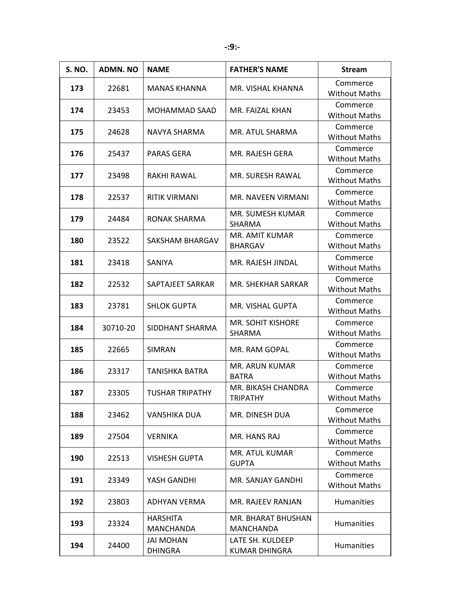| <b>S. NO.</b> | <b>ADMN. NO</b> | <b>NAME</b>                         | <b>FATHER'S NAME</b>                     | <b>Stream</b>                    |
|---------------|-----------------|-------------------------------------|------------------------------------------|----------------------------------|
| 173           | 22681           | <b>MANAS KHANNA</b>                 | MR. VISHAL KHANNA                        | Commerce<br><b>Without Maths</b> |
| 174           | 23453           | MOHAMMAD SAAD                       | MR. FAIZAL KHAN                          | Commerce<br><b>Without Maths</b> |
| 175           | 24628           | NAVYA SHARMA                        | MR. ATUL SHARMA                          | Commerce<br><b>Without Maths</b> |
| 176           | 25437           | PARAS GERA                          | MR. RAJESH GERA                          | Commerce<br><b>Without Maths</b> |
| 177           | 23498           | RAKHI RAWAL                         | MR. SURESH RAWAL                         | Commerce<br><b>Without Maths</b> |
| 178           | 22537           | <b>RITIK VIRMANI</b>                | <b>MR. NAVEEN VIRMANI</b>                | Commerce<br><b>Without Maths</b> |
| 179           | 24484           | RONAK SHARMA                        | MR. SUMESH KUMAR<br><b>SHARMA</b>        | Commerce<br><b>Without Maths</b> |
| 180           | 23522           | SAKSHAM BHARGAV                     | MR. AMIT KUMAR<br><b>BHARGAV</b>         | Commerce<br><b>Without Maths</b> |
| 181           | 23418           | <b>SANIYA</b>                       | MR. RAJESH JINDAL                        | Commerce<br><b>Without Maths</b> |
| 182           | 22532           | SAPTAJEET SARKAR                    | MR. SHEKHAR SARKAR                       | Commerce<br><b>Without Maths</b> |
| 183           | 23781           | <b>SHLOK GUPTA</b>                  | MR. VISHAL GUPTA                         | Commerce<br><b>Without Maths</b> |
| 184           | 30710-20        | SIDDHANT SHARMA                     | <b>MR. SOHIT KISHORE</b><br>SHARMA       | Commerce<br><b>Without Maths</b> |
| 185           | 22665           | <b>SIMRAN</b>                       | MR. RAM GOPAL                            | Commerce<br><b>Without Maths</b> |
| 186           | 23317           | <b>TANISHKA BATRA</b>               | <b>MR. ARUN KUMAR</b><br><b>BATRA</b>    | Commerce<br><b>Without Maths</b> |
| 187           | 23305           | <b>TUSHAR TRIPATHY</b>              | MR. BIKASH CHANDRA<br><b>TRIPATHY</b>    | Commerce<br><b>Without Maths</b> |
| 188           | 23462           | VANSHIKA DUA                        | MR. DINESH DUA                           | Commerce<br><b>Without Maths</b> |
| 189           | 27504           | VERNIKA                             | MR. HANS RAJ                             | Commerce<br><b>Without Maths</b> |
| 190           | 22513           | <b>VISHESH GUPTA</b>                | MR. ATUL KUMAR<br><b>GUPTA</b>           | Commerce<br><b>Without Maths</b> |
| 191           | 23349           | YASH GANDHI                         | MR. SANJAY GANDHI                        | Commerce<br><b>Without Maths</b> |
| 192           | 23803           | ADHYAN VERMA                        | MR. RAJEEV RANJAN                        | Humanities                       |
| 193           | 23324           | <b>HARSHITA</b><br><b>MANCHANDA</b> | MR. BHARAT BHUSHAN<br><b>MANCHANDA</b>   | Humanities                       |
| 194           | 24400           | <b>JAI MOHAN</b><br><b>DHINGRA</b>  | LATE SH. KULDEEP<br><b>KUMAR DHINGRA</b> | Humanities                       |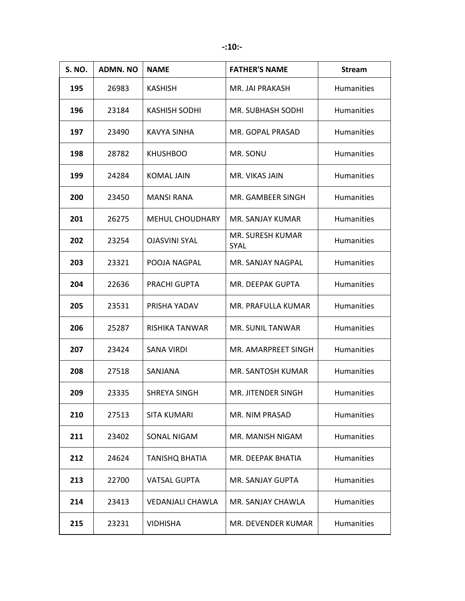| <b>S. NO.</b> | <b>ADMN. NO</b> | <b>NAME</b>            | <b>FATHER'S NAME</b>            | <b>Stream</b>     |
|---------------|-----------------|------------------------|---------------------------------|-------------------|
| 195           | 26983           | <b>KASHISH</b>         | MR. JAI PRAKASH                 | <b>Humanities</b> |
| 196           | 23184           | KASHISH SODHI          | MR. SUBHASH SODHI               | <b>Humanities</b> |
| 197           | 23490           | KAVYA SINHA            | MR. GOPAL PRASAD                | <b>Humanities</b> |
| 198           | 28782           | <b>KHUSHBOO</b>        | MR. SONU                        | <b>Humanities</b> |
| 199           | 24284           | <b>KOMAL JAIN</b>      | MR. VIKAS JAIN                  | Humanities        |
| 200           | 23450           | <b>MANSI RANA</b>      | MR. GAMBEER SINGH               | <b>Humanities</b> |
| 201           | 26275           | <b>MEHUL CHOUDHARY</b> | MR. SANJAY KUMAR                | <b>Humanities</b> |
| 202           | 23254           | <b>OJASVINI SYAL</b>   | MR. SURESH KUMAR<br><b>SYAL</b> | <b>Humanities</b> |
| 203           | 23321           | POOJA NAGPAL           | MR. SANJAY NAGPAL               | <b>Humanities</b> |
| 204           | 22636           | PRACHI GUPTA           | MR. DEEPAK GUPTA                | <b>Humanities</b> |
| 205           | 23531           | PRISHA YADAV           | MR. PRAFULLA KUMAR              | <b>Humanities</b> |
| 206           | 25287           | RISHIKA TANWAR         | MR. SUNIL TANWAR                | Humanities        |
| 207           | 23424           | SANA VIRDI             | MR. AMARPREET SINGH             | Humanities        |
| 208           | 27518           | <b>SANJANA</b>         | <b>MR. SANTOSH KUMAR</b>        | <b>Humanities</b> |
| 209           | 23335           | <b>SHREYA SINGH</b>    | MR. JITENDER SINGH              | <b>Humanities</b> |
| 210           | 27513           | <b>SITA KUMARI</b>     | <b>MR. NIM PRASAD</b>           | Humanities        |
| 211           | 23402           | SONAL NIGAM            | MR. MANISH NIGAM                | Humanities        |
| 212           | 24624           | <b>TANISHQ BHATIA</b>  | MR. DEEPAK BHATIA               | <b>Humanities</b> |
| 213           | 22700           | <b>VATSAL GUPTA</b>    | MR. SANJAY GUPTA                | Humanities        |
| 214           | 23413           | VEDANJALI CHAWLA       | MR. SANJAY CHAWLA               | <b>Humanities</b> |
| 215           | 23231           | <b>VIDHISHA</b>        | MR. DEVENDER KUMAR              | Humanities        |